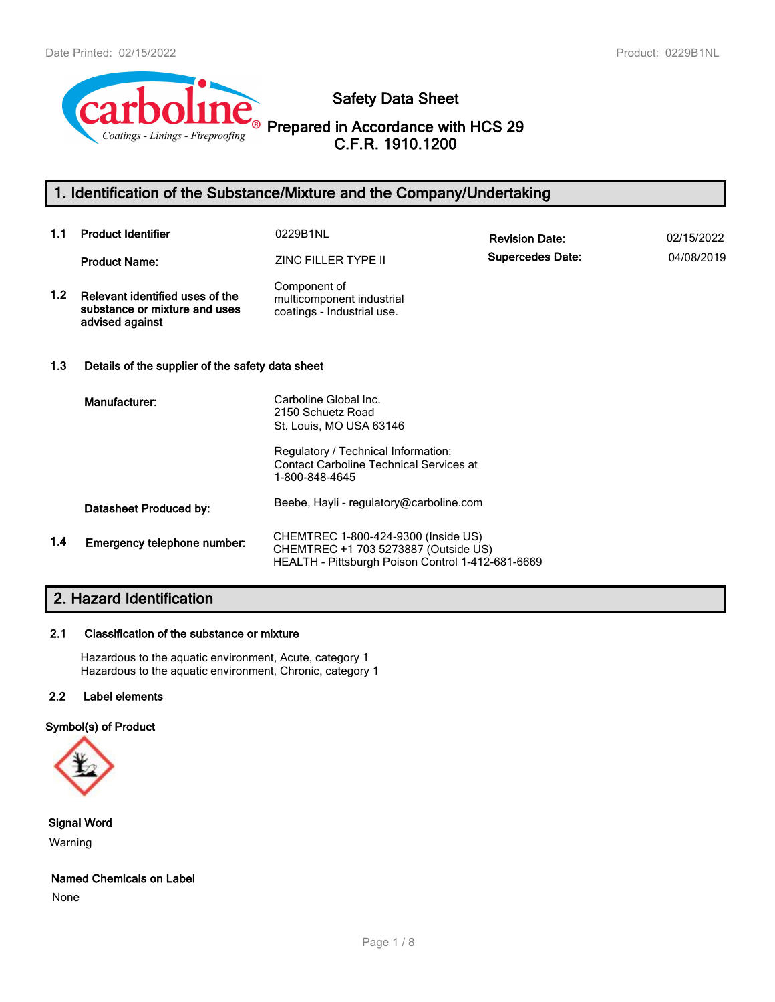

**Safety Data Sheet**

**Prepared in Accordance with HCS 29 C.F.R. 1910.1200**

# **1. Identification of the Substance/Mixture and the Company/Undertaking**

| 1.1              | <b>Product Identifier</b>                                                           | 0229B1NL                                                                                                                         | <b>Revision Date:</b>   | 02/15/2022 |
|------------------|-------------------------------------------------------------------------------------|----------------------------------------------------------------------------------------------------------------------------------|-------------------------|------------|
|                  | <b>Product Name:</b>                                                                | ZINC FILLER TYPE II                                                                                                              | <b>Supercedes Date:</b> | 04/08/2019 |
| 1.2 <sub>2</sub> | Relevant identified uses of the<br>substance or mixture and uses<br>advised against | Component of<br>multicomponent industrial<br>coatings - Industrial use.                                                          |                         |            |
| 1.3              | Details of the supplier of the safety data sheet                                    |                                                                                                                                  |                         |            |
|                  | Manufacturer:                                                                       | Carboline Global Inc.<br>2150 Schuetz Road<br>St. Louis, MO USA 63146                                                            |                         |            |
|                  |                                                                                     | Regulatory / Technical Information:<br><b>Contact Carboline Technical Services at</b><br>1-800-848-4645                          |                         |            |
|                  | Datasheet Produced by:                                                              | Beebe, Hayli - regulatory@carboline.com                                                                                          |                         |            |
| 1.4              | Emergency telephone number:                                                         | CHEMTREC 1-800-424-9300 (Inside US)<br>CHEMTREC +1 703 5273887 (Outside US)<br>HEALTH - Pittsburgh Poison Control 1-412-681-6669 |                         |            |

# **2. Hazard Identification**

# **2.1 Classification of the substance or mixture**

Hazardous to the aquatic environment, Acute, category 1 Hazardous to the aquatic environment, Chronic, category 1

# **2.2 Label elements**

# **Symbol(s) of Product**



**Signal Word** Warning

### **Named Chemicals on Label**

None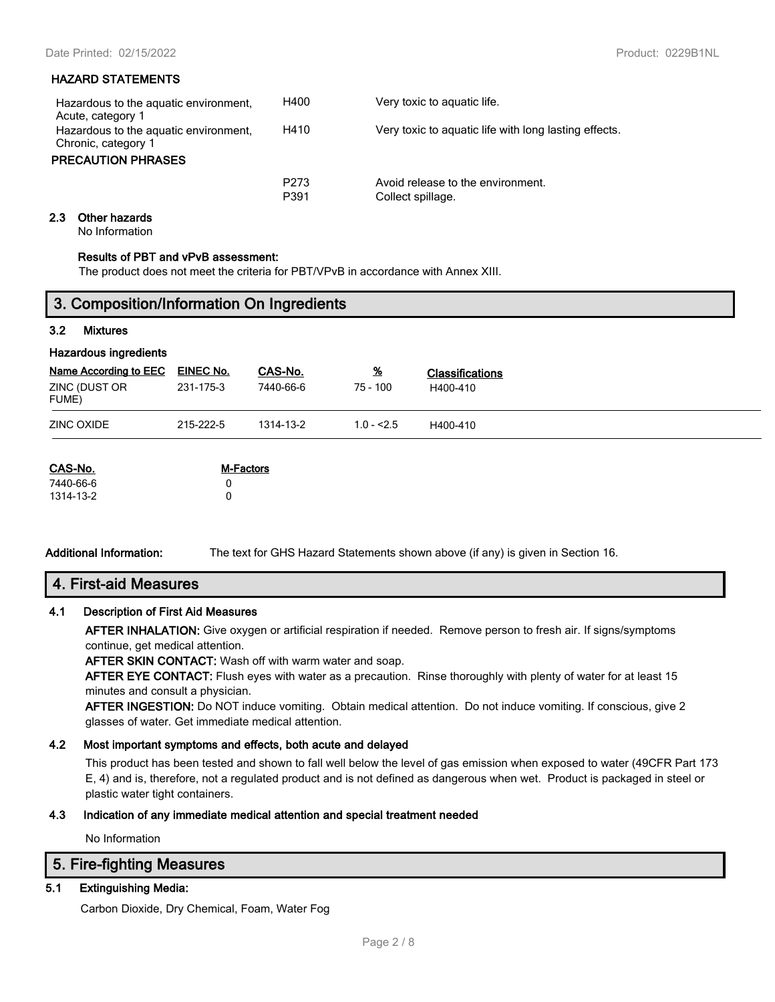## **HAZARD STATEMENTS**

| Hazardous to the aquatic environment,<br>Acute, category 1                                | H400                     | Very toxic to aguatic life.                            |
|-------------------------------------------------------------------------------------------|--------------------------|--------------------------------------------------------|
| Hazardous to the aquatic environment,<br>Chronic, category 1<br><b>PRECAUTION PHRASES</b> | H410                     | Very toxic to aquatic life with long lasting effects.  |
|                                                                                           | P <sub>273</sub><br>P391 | Avoid release to the environment.<br>Collect spillage. |

### **2.3 Other hazards**

No Information

#### **Results of PBT and vPvB assessment:**

**3. Composition/Information On Ingredients**

The product does not meet the criteria for PBT/VPvB in accordance with Annex XIII.

| <b>Mixtures</b><br><b>EINEC No.</b><br><u>%</u><br>CAS-No.<br><b>Classifications</b><br>231-175-3<br>7440-66-6<br>$75 - 100$<br>H400-410<br>215-222-5<br>$1.0 - 2.5$<br>1314-13-2<br>H400-410<br>M-Factors<br>0<br>0<br>1314-13-2 |     | $\tilde{\phantom{a}}$ |  |  |
|-----------------------------------------------------------------------------------------------------------------------------------------------------------------------------------------------------------------------------------|-----|-----------------------|--|--|
| <b>Hazardous ingredients</b><br><b>Name According to EEC</b><br>ZINC (DUST OR<br>FUME)<br><b>ZINC OXIDE</b><br>CAS-No.<br>7440-66-6                                                                                               | 3.2 |                       |  |  |
|                                                                                                                                                                                                                                   |     |                       |  |  |
|                                                                                                                                                                                                                                   |     |                       |  |  |
|                                                                                                                                                                                                                                   |     |                       |  |  |
|                                                                                                                                                                                                                                   |     |                       |  |  |
|                                                                                                                                                                                                                                   |     |                       |  |  |
|                                                                                                                                                                                                                                   |     |                       |  |  |
|                                                                                                                                                                                                                                   |     |                       |  |  |

**Additional Information:** The text for GHS Hazard Statements shown above (if any) is given in Section 16.

# **4. First-aid Measures**

## **4.1 Description of First Aid Measures**

**AFTER INHALATION:** Give oxygen or artificial respiration if needed. Remove person to fresh air. If signs/symptoms continue, get medical attention.

**AFTER SKIN CONTACT:** Wash off with warm water and soap.

**AFTER EYE CONTACT:** Flush eyes with water as a precaution. Rinse thoroughly with plenty of water for at least 15 minutes and consult a physician.

**AFTER INGESTION:** Do NOT induce vomiting. Obtain medical attention. Do not induce vomiting. If conscious, give 2 glasses of water. Get immediate medical attention.

### **4.2 Most important symptoms and effects, both acute and delayed**

This product has been tested and shown to fall well below the level of gas emission when exposed to water (49CFR Part 173 E, 4) and is, therefore, not a regulated product and is not defined as dangerous when wet. Product is packaged in steel or plastic water tight containers.

### **4.3 Indication of any immediate medical attention and special treatment needed**

No Information

# **5. Fire-fighting Measures**

## **5.1 Extinguishing Media:**

Carbon Dioxide, Dry Chemical, Foam, Water Fog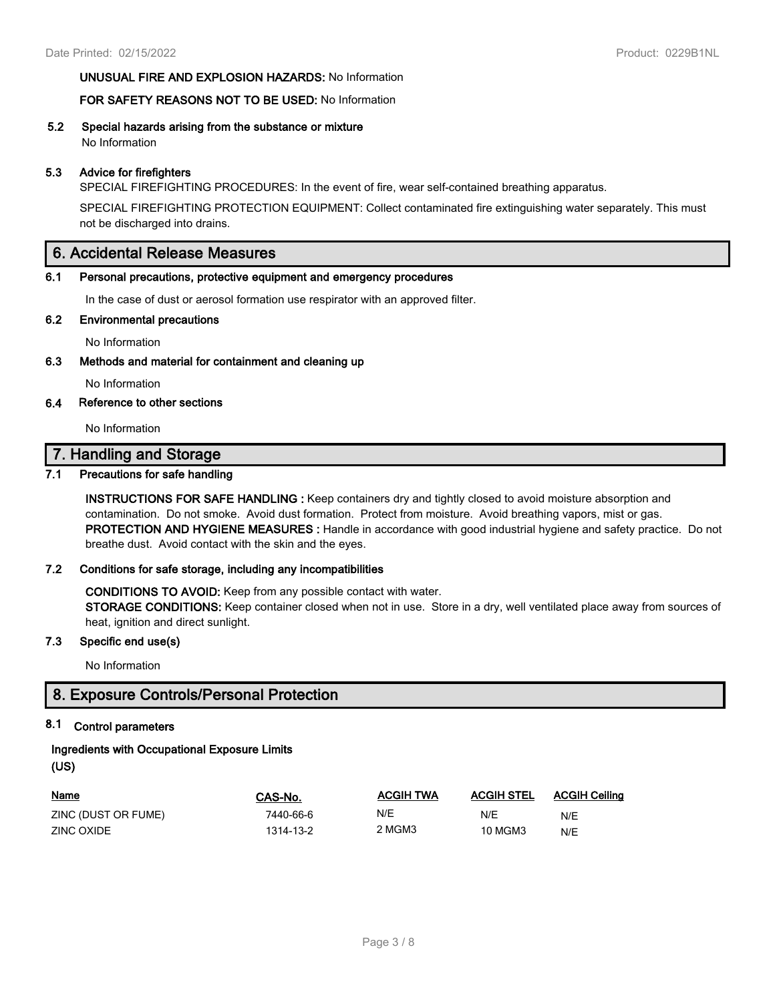## **UNUSUAL FIRE AND EXPLOSION HAZARDS:** No Information

## **FOR SAFETY REASONS NOT TO BE USED:** No Information

**5.2 Special hazards arising from the substance or mixture** No Information

## **5.3 Advice for firefighters**

SPECIAL FIREFIGHTING PROCEDURES: In the event of fire, wear self-contained breathing apparatus.

SPECIAL FIREFIGHTING PROTECTION EQUIPMENT: Collect contaminated fire extinguishing water separately. This must not be discharged into drains.

# **6. Accidental Release Measures**

### **6.1 Personal precautions, protective equipment and emergency procedures**

In the case of dust or aerosol formation use respirator with an approved filter.

### **6.2 Environmental precautions**

No Information

**6.3 Methods and material for containment and cleaning up**

No Information

### **6.4 Reference to other sections**

No Information

# **7. Handling and Storage**

## **7.1 Precautions for safe handling**

**INSTRUCTIONS FOR SAFE HANDLING :** Keep containers dry and tightly closed to avoid moisture absorption and contamination. Do not smoke. Avoid dust formation. Protect from moisture. Avoid breathing vapors, mist or gas. **PROTECTION AND HYGIENE MEASURES :** Handle in accordance with good industrial hygiene and safety practice. Do not breathe dust. Avoid contact with the skin and the eyes.

### **7.2 Conditions for safe storage, including any incompatibilities**

**CONDITIONS TO AVOID:** Keep from any possible contact with water. **STORAGE CONDITIONS:** Keep container closed when not in use. Store in a dry, well ventilated place away from sources of

heat, ignition and direct sunlight.

## **7.3 Specific end use(s)**

No Information

# **8. Exposure Controls/Personal Protection**

# **8.1 Control parameters**

# **Ingredients with Occupational Exposure Limits**

**(US)**

| <b>Name</b>         | CAS-No.   | <b>ACGIH TWA</b> | <b>ACGIH STEL</b> | <b>ACGIH Ceiling</b> |
|---------------------|-----------|------------------|-------------------|----------------------|
| ZINC (DUST OR FUME) | 7440-66-6 | N/E              | N/E               | N/E                  |
| ZINC OXIDE          | 1314-13-2 | 2 MGM3           | 10 MGM3           | N/E                  |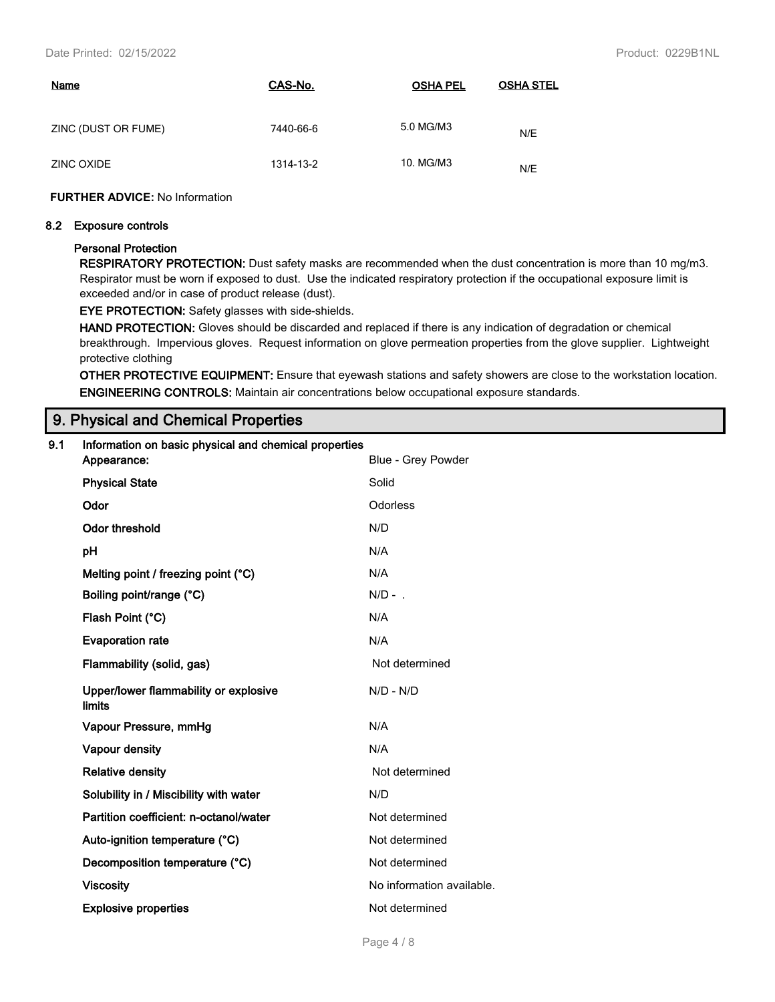| <b>Name</b>         | CAS-No.   | <b>OSHA PEL</b> | <b>OSHA STEL</b> |
|---------------------|-----------|-----------------|------------------|
| ZINC (DUST OR FUME) | 7440-66-6 | 5.0 MG/M3       | N/E              |
| ZINC OXIDE          | 1314-13-2 | 10. MG/M3       | N/E              |

### **FURTHER ADVICE:** No Information

#### **8.2 Exposure controls**

### **Personal Protection**

**RESPIRATORY PROTECTION:** Dust safety masks are recommended when the dust concentration is more than 10 mg/m3. Respirator must be worn if exposed to dust. Use the indicated respiratory protection if the occupational exposure limit is exceeded and/or in case of product release (dust).

### **EYE PROTECTION:** Safety glasses with side-shields.

**HAND PROTECTION:** Gloves should be discarded and replaced if there is any indication of degradation or chemical breakthrough. Impervious gloves. Request information on glove permeation properties from the glove supplier. Lightweight protective clothing

**OTHER PROTECTIVE EQUIPMENT:** Ensure that eyewash stations and safety showers are close to the workstation location. **ENGINEERING CONTROLS:** Maintain air concentrations below occupational exposure standards.

# **9. Physical and Chemical Properties**

| 9.1 | Information on basic physical and chemical properties<br>Appearance: | Blue - Grey Powder        |
|-----|----------------------------------------------------------------------|---------------------------|
|     |                                                                      |                           |
|     | <b>Physical State</b>                                                | Solid                     |
|     | Odor                                                                 | Odorless                  |
|     | <b>Odor threshold</b>                                                | N/D                       |
|     | pH                                                                   | N/A                       |
|     | Melting point / freezing point (°C)                                  | N/A                       |
|     | Boiling point/range (°C)                                             | $N/D -$ .                 |
|     | Flash Point (°C)                                                     | N/A                       |
|     | <b>Evaporation rate</b>                                              | N/A                       |
|     | Flammability (solid, gas)                                            | Not determined            |
|     | Upper/lower flammability or explosive<br>limits                      | $N/D - N/D$               |
|     | Vapour Pressure, mmHg                                                | N/A                       |
|     | Vapour density                                                       | N/A                       |
|     | <b>Relative density</b>                                              | Not determined            |
|     | Solubility in / Miscibility with water                               | N/D                       |
|     | Partition coefficient: n-octanol/water                               | Not determined            |
|     | Auto-ignition temperature (°C)                                       | Not determined            |
|     | Decomposition temperature (°C)                                       | Not determined            |
|     | <b>Viscosity</b>                                                     | No information available. |
|     | <b>Explosive properties</b>                                          | Not determined            |
|     |                                                                      |                           |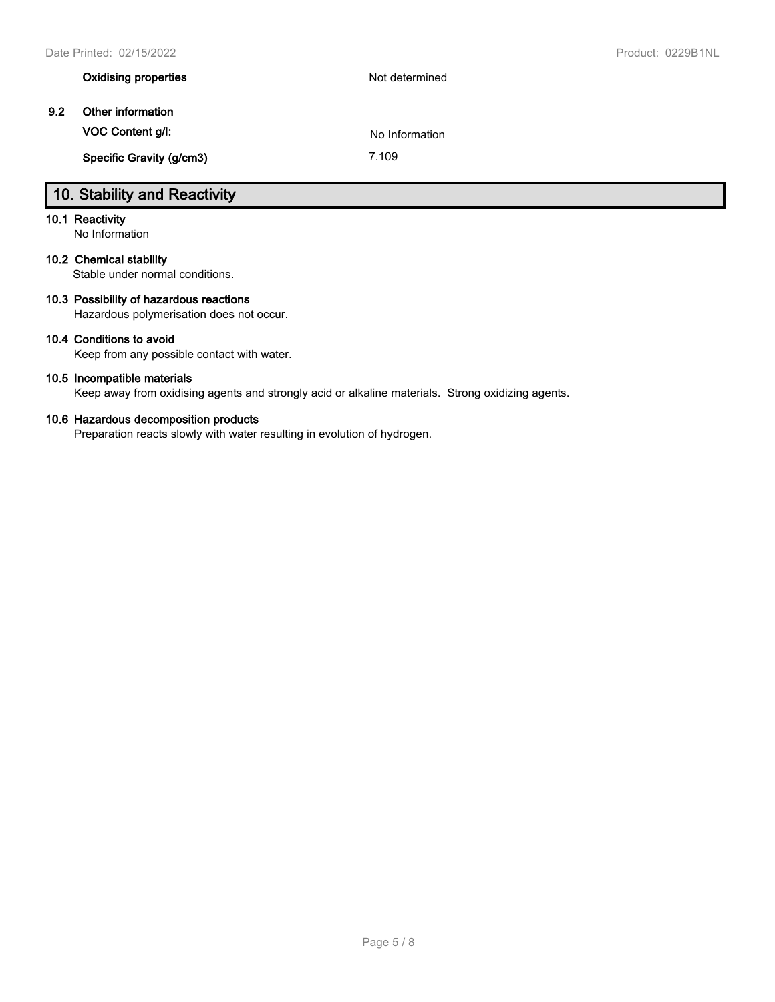|     | <b>Oxidising properties</b> | Not determined |
|-----|-----------------------------|----------------|
| 9.2 | Other information           |                |
|     | VOC Content g/l:            | No Information |
|     | Specific Gravity (g/cm3)    | 7.109          |

# **10. Stability and Reactivity**

# **10.1 Reactivity**

No Information

# **10.2 Chemical stability**

Stable under normal conditions.

## **10.3 Possibility of hazardous reactions**

Hazardous polymerisation does not occur.

## **10.4 Conditions to avoid**

Keep from any possible contact with water.

### **10.5 Incompatible materials**

Keep away from oxidising agents and strongly acid or alkaline materials. Strong oxidizing agents.

## **10.6 Hazardous decomposition products**

Preparation reacts slowly with water resulting in evolution of hydrogen.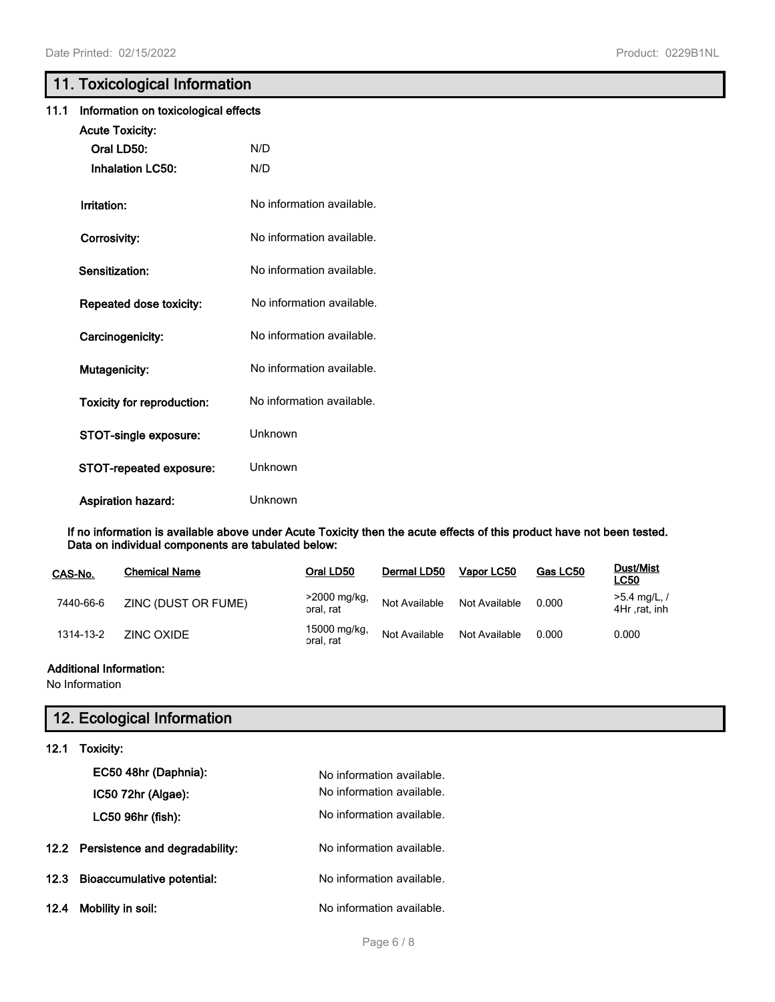# **11. Toxicological Information**

| 11.1                                       | Information on toxicological effects |                           |  |  |  |
|--------------------------------------------|--------------------------------------|---------------------------|--|--|--|
|                                            | <b>Acute Toxicity:</b>               |                           |  |  |  |
|                                            | Oral LD50:                           | N/D                       |  |  |  |
|                                            | <b>Inhalation LC50:</b>              | N/D                       |  |  |  |
|                                            | Irritation:                          | No information available. |  |  |  |
|                                            | Corrosivity:                         | No information available. |  |  |  |
|                                            | Sensitization:                       | No information available. |  |  |  |
|                                            | Repeated dose toxicity:              | No information available. |  |  |  |
|                                            | Carcinogenicity:                     | No information available. |  |  |  |
| No information available.<br>Mutagenicity: |                                      |                           |  |  |  |
|                                            | <b>Toxicity for reproduction:</b>    | No information available. |  |  |  |
|                                            | STOT-single exposure:                | Unknown                   |  |  |  |
|                                            | STOT-repeated exposure:              | Unknown                   |  |  |  |
|                                            | Aspiration hazard:                   | Unknown                   |  |  |  |

**If no information is available above under Acute Toxicity then the acute effects of this product have not been tested. Data on individual components are tabulated below:**

| CAS-No.   | <b>Chemical Name</b> | Oral LD50                 | Dermal LD50   | Vapor LC50    | Gas LC50 | Dust/Mist<br><b>LC50</b>       |
|-----------|----------------------|---------------------------|---------------|---------------|----------|--------------------------------|
| 7440-66-6 | ZINC (DUST OR FUME)  | >2000 mg/kg,<br>oral, rat | Not Available | Not Available | 0.000    | $>5.4$ mg/L, /<br>4Hr rat, inh |
| 1314-13-2 | ZINC OXIDE           | 15000 mg/kg,<br>oral, rat | Not Available | Not Available | 0.000    | 0.000                          |

# **Additional Information:**

No Information

# **12. Ecological Information**

# **12.1 Toxicity:**

|      | EC50 48hr (Daphnia):                | No information available. |
|------|-------------------------------------|---------------------------|
|      | $IC5072hr$ (Algae):                 | No information available. |
|      | LC50 96hr (fish):                   | No information available. |
|      | 12.2 Persistence and degradability: | No information available. |
|      | 12.3 Bioaccumulative potential:     | No information available. |
| 12.4 | Mobility in soil:                   | No information available. |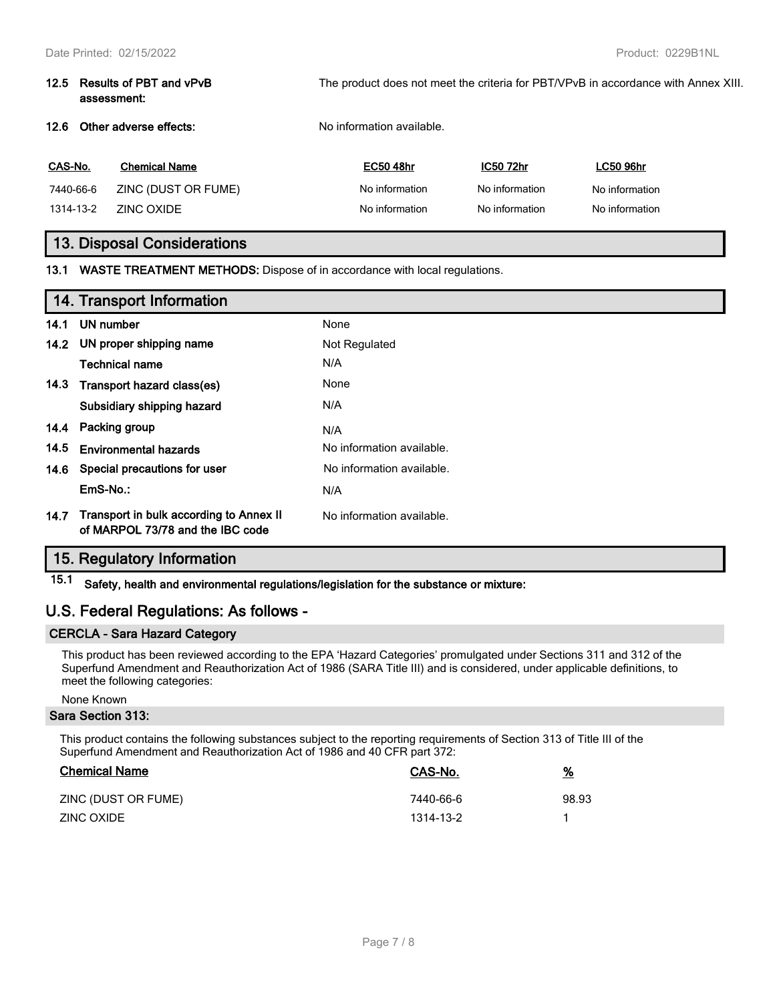| 12.5 Results of PBT and vPvB<br>assessment: | The product does not meet the criteria for PBT/VPvB in accordance with Annex XIII. |
|---------------------------------------------|------------------------------------------------------------------------------------|
| 12.6 Other adverse effects:                 | No information available.                                                          |
|                                             |                                                                                    |

| CAS-No.   | <b>Chemical Name</b> | <b>EC50 48hr</b> | IC50 72hr      | <b>LC50 96hr</b> |
|-----------|----------------------|------------------|----------------|------------------|
| 7440-66-6 | ZINC (DUST OR FUME)  | No information   | No information | No information   |
| 1314-13-2 | ZINC OXIDE           | No information   | No information | No information   |

# **13. Disposal Considerations**

**13.1 WASTE TREATMENT METHODS:** Dispose of in accordance with local regulations.

|      | 14. Transport Information                                                   |                           |
|------|-----------------------------------------------------------------------------|---------------------------|
| 14.1 | UN number                                                                   | None                      |
| 14.2 | UN proper shipping name                                                     | Not Regulated             |
|      | <b>Technical name</b>                                                       | N/A                       |
| 14.3 | Transport hazard class(es)                                                  | None                      |
|      | Subsidiary shipping hazard                                                  | N/A                       |
| 14.4 | Packing group                                                               | N/A                       |
| 14.5 | <b>Environmental hazards</b>                                                | No information available. |
| 14.6 | Special precautions for user                                                | No information available. |
|      | EmS-No.:                                                                    | N/A                       |
| 14.7 | Transport in bulk according to Annex II<br>of MARPOL 73/78 and the IBC code | No information available. |

# **15. Regulatory Information**

**15.1 Safety, health and environmental regulations/legislation for the substance or mixture:**

# **U.S. Federal Regulations: As follows -**

## **CERCLA - Sara Hazard Category**

This product has been reviewed according to the EPA 'Hazard Categories' promulgated under Sections 311 and 312 of the Superfund Amendment and Reauthorization Act of 1986 (SARA Title III) and is considered, under applicable definitions, to meet the following categories:

# None Known

### **Sara Section 313:**

This product contains the following substances subject to the reporting requirements of Section 313 of Title III of the Superfund Amendment and Reauthorization Act of 1986 and 40 CFR part 372:

| <b>Chemical Name</b> | CAS-No.   | <u>%</u> |
|----------------------|-----------|----------|
| ZINC (DUST OR FUME)  | 7440-66-6 | 98.93    |
| ZINC OXIDE           | 1314-13-2 |          |